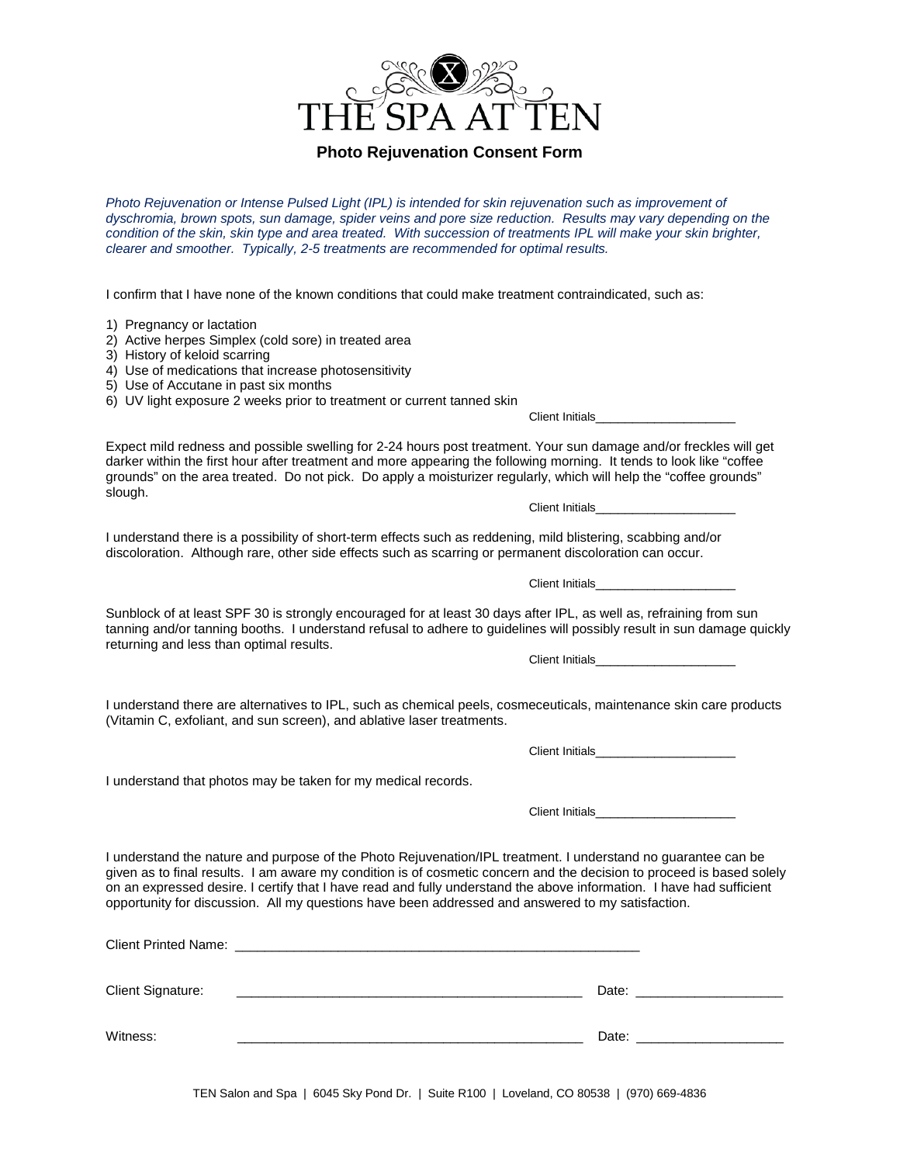

## **Photo Rejuvenation Consent Form**

*Photo Rejuvenation or Intense Pulsed Light (IPL) is intended for skin rejuvenation such as improvement of dyschromia, brown spots, sun damage, spider veins and pore size reduction. Results may vary depending on the* condition of the skin, skin type and area treated. With succession of treatments IPL will make your skin brighter, *clearer and smoother. Typically, 2-5 treatments are recommended for optimal results.* 

I confirm that I have none of the known conditions that could make treatment contraindicated, such as:

1) Pregnancy or lactation

- 2) Active herpes Simplex (cold sore) in treated area
- 3) History of keloid scarring
- 4) Use of medications that increase photosensitivity
- 5) Use of Accutane in past six months

6) UV light exposure 2 weeks prior to treatment or current tanned skin

Expect mild redness and possible swelling for 2-24 hours post treatment. Your sun damage and/or freckles will get darker within the first hour after treatment and more appearing the following morning. It tends to look like "coffee grounds" on the area treated. Do not pick. Do apply a moisturizer regularly, which will help the "coffee grounds" slough.

Client Initials

Client Initials

Client Initials

I understand there is a possibility of short-term effects such as reddening, mild blistering, scabbing and/or discoloration. Although rare, other side effects such as scarring or permanent discoloration can occur.

Sunblock of at least SPF 30 is strongly encouraged for at least 30 days after IPL, as well as, refraining from sun tanning and/or tanning booths. I understand refusal to adhere to guidelines will possibly result in sun damage quickly returning and less than optimal results.

Client Initials

I understand there are alternatives to IPL, such as chemical peels, cosmeceuticals, maintenance skin care products (Vitamin C, exfoliant, and sun screen), and ablative laser treatments.

Client Initials

I understand that photos may be taken for my medical records.

Client Initials

I understand the nature and purpose of the Photo Rejuvenation/IPL treatment. I understand no guarantee can be given as to final results. I am aware my condition is of cosmetic concern and the decision to proceed is based solely on an expressed desire. I certify that I have read and fully understand the above information. I have had sufficient opportunity for discussion. All my questions have been addressed and answered to my satisfaction.

| Client Printed Name:     |                                                                                                                       |       |                                                                                                                                                                                                                                |
|--------------------------|-----------------------------------------------------------------------------------------------------------------------|-------|--------------------------------------------------------------------------------------------------------------------------------------------------------------------------------------------------------------------------------|
| <b>Client Signature:</b> | <u> 1989 - John Harry Harry Harry Harry Harry Harry Harry Harry Harry Harry Harry Harry Harry Harry Harry Harry H</u> |       | Date: the contract of the contract of the contract of the contract of the contract of the contract of the contract of the contract of the contract of the contract of the contract of the contract of the contract of the cont |
| Witness:                 |                                                                                                                       | Date: |                                                                                                                                                                                                                                |